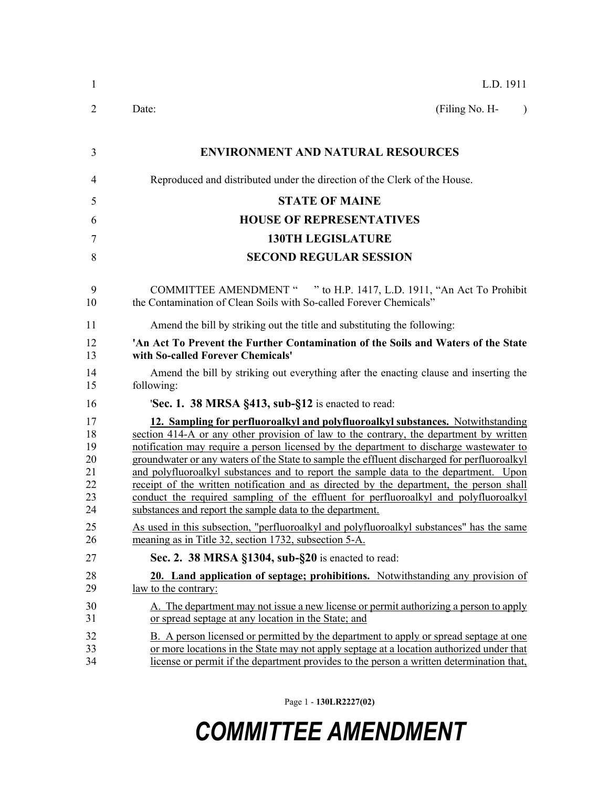| $\mathbf{1}$                                       | L.D. 1911                                                                                                                                                                                                                                                                                                                                                                                                                                                                                                                                                                                                                                                                                                                                                                                              |  |  |
|----------------------------------------------------|--------------------------------------------------------------------------------------------------------------------------------------------------------------------------------------------------------------------------------------------------------------------------------------------------------------------------------------------------------------------------------------------------------------------------------------------------------------------------------------------------------------------------------------------------------------------------------------------------------------------------------------------------------------------------------------------------------------------------------------------------------------------------------------------------------|--|--|
| 2                                                  | (Filing No. H-<br>Date:<br>$\lambda$                                                                                                                                                                                                                                                                                                                                                                                                                                                                                                                                                                                                                                                                                                                                                                   |  |  |
| 3                                                  | <b>ENVIRONMENT AND NATURAL RESOURCES</b>                                                                                                                                                                                                                                                                                                                                                                                                                                                                                                                                                                                                                                                                                                                                                               |  |  |
| 4                                                  | Reproduced and distributed under the direction of the Clerk of the House.                                                                                                                                                                                                                                                                                                                                                                                                                                                                                                                                                                                                                                                                                                                              |  |  |
| 5                                                  | <b>STATE OF MAINE</b>                                                                                                                                                                                                                                                                                                                                                                                                                                                                                                                                                                                                                                                                                                                                                                                  |  |  |
| 6                                                  | <b>HOUSE OF REPRESENTATIVES</b>                                                                                                                                                                                                                                                                                                                                                                                                                                                                                                                                                                                                                                                                                                                                                                        |  |  |
| 7                                                  | <b>130TH LEGISLATURE</b>                                                                                                                                                                                                                                                                                                                                                                                                                                                                                                                                                                                                                                                                                                                                                                               |  |  |
| 8                                                  | <b>SECOND REGULAR SESSION</b>                                                                                                                                                                                                                                                                                                                                                                                                                                                                                                                                                                                                                                                                                                                                                                          |  |  |
| 9<br>10                                            | COMMITTEE AMENDMENT " " to H.P. 1417, L.D. 1911, "An Act To Prohibit<br>the Contamination of Clean Soils with So-called Forever Chemicals"                                                                                                                                                                                                                                                                                                                                                                                                                                                                                                                                                                                                                                                             |  |  |
| 11                                                 | Amend the bill by striking out the title and substituting the following:                                                                                                                                                                                                                                                                                                                                                                                                                                                                                                                                                                                                                                                                                                                               |  |  |
| 12<br>13                                           | 'An Act To Prevent the Further Contamination of the Soils and Waters of the State<br>with So-called Forever Chemicals'                                                                                                                                                                                                                                                                                                                                                                                                                                                                                                                                                                                                                                                                                 |  |  |
| 14<br>15                                           | Amend the bill by striking out everything after the enacting clause and inserting the<br>following:                                                                                                                                                                                                                                                                                                                                                                                                                                                                                                                                                                                                                                                                                                    |  |  |
| 16                                                 | 'Sec. 1. 38 MRSA §413, sub-§12 is enacted to read:                                                                                                                                                                                                                                                                                                                                                                                                                                                                                                                                                                                                                                                                                                                                                     |  |  |
| 17<br>18<br>19<br>20<br>21<br>22<br>23<br>24<br>25 | 12. Sampling for perfluoroalkyl and polyfluoroalkyl substances. Notwithstanding<br>section 414-A or any other provision of law to the contrary, the department by written<br>notification may require a person licensed by the department to discharge wastewater to<br>groundwater or any waters of the State to sample the effluent discharged for perfluoroalkyl<br>and polyfluoroalkyl substances and to report the sample data to the department. Upon<br>receipt of the written notification and as directed by the department, the person shall<br>conduct the required sampling of the effluent for perfluoroalkyl and polyfluoroalkyl<br>substances and report the sample data to the department.<br>As used in this subsection, "perfluoroalkyl and polyfluoroalkyl substances" has the same |  |  |
| 26                                                 | meaning as in Title 32, section 1732, subsection 5-A.                                                                                                                                                                                                                                                                                                                                                                                                                                                                                                                                                                                                                                                                                                                                                  |  |  |
| 27<br>28<br>29                                     | Sec. 2. 38 MRSA §1304, sub-§20 is enacted to read:<br>20. Land application of septage; prohibitions. Notwithstanding any provision of<br><u>law</u> to the contrary:                                                                                                                                                                                                                                                                                                                                                                                                                                                                                                                                                                                                                                   |  |  |
| 30<br>31                                           | A. The department may not issue a new license or permit authorizing a person to apply<br>or spread septage at any location in the State; and                                                                                                                                                                                                                                                                                                                                                                                                                                                                                                                                                                                                                                                           |  |  |
| 32<br>33<br>34                                     | B. A person licensed or permitted by the department to apply or spread septage at one<br>or more locations in the State may not apply septage at a location authorized under that<br>license or permit if the department provides to the person a written determination that,                                                                                                                                                                                                                                                                                                                                                                                                                                                                                                                          |  |  |

Page 1 - **130LR2227(02)**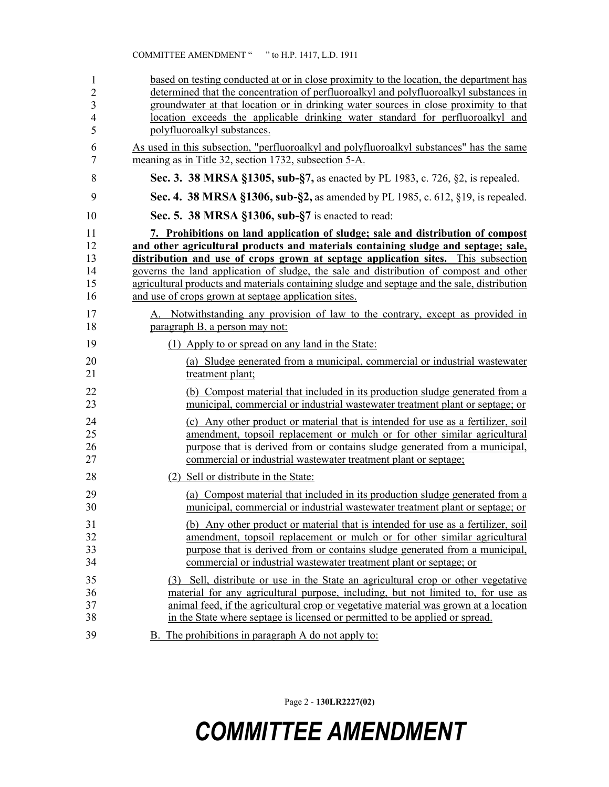| 1                        | based on testing conducted at or in close proximity to the location, the department has      |
|--------------------------|----------------------------------------------------------------------------------------------|
| $\overline{2}$           | determined that the concentration of perfluoroalkyl and polyfluoroalkyl substances in        |
| $\overline{3}$           | groundwater at that location or in drinking water sources in close proximity to that         |
| $\overline{\mathcal{A}}$ | location exceeds the applicable drinking water standard for perfluoroalkyl and               |
| 5                        | polyfluoroalkyl substances.                                                                  |
| 6                        | As used in this subsection, "perfluoroalkyl and polyfluoroalkyl substances" has the same     |
| 7                        | meaning as in Title 32, section 1732, subsection 5-A.                                        |
| 8                        | Sec. 3. 38 MRSA §1305, sub-§7, as enacted by PL 1983, c. 726, §2, is repealed.               |
| 9                        | Sec. 4. 38 MRSA §1306, sub-§2, as amended by PL 1985, c. 612, §19, is repealed.              |
| 10                       | Sec. 5. 38 MRSA §1306, sub-§7 is enacted to read:                                            |
| 11                       | 7. Prohibitions on land application of sludge; sale and distribution of compost              |
| 12                       | and other agricultural products and materials containing sludge and septage; sale,           |
| 13                       | distribution and use of crops grown at septage application sites. This subsection            |
| 14                       | governs the land application of sludge, the sale and distribution of compost and other       |
| 15                       | agricultural products and materials containing sludge and septage and the sale, distribution |
| 16                       | and use of crops grown at septage application sites.                                         |
| 17                       | A. Notwithstanding any provision of law to the contrary, except as provided in               |
| 18                       | paragraph B, a person may not:                                                               |
| 19                       | (1) Apply to or spread on any land in the State:                                             |
| 20                       | (a) Sludge generated from a municipal, commercial or industrial wastewater                   |
| 21                       | treatment plant;                                                                             |
| 22                       | (b) Compost material that included in its production sludge generated from a                 |
| 23                       | municipal, commercial or industrial wastewater treatment plant or septage; or                |
| 24                       | (c) Any other product or material that is intended for use as a fertilizer, soil             |
| 25                       | amendment, topsoil replacement or mulch or for other similar agricultural                    |
| 26                       | purpose that is derived from or contains sludge generated from a municipal,                  |
| 27                       | commercial or industrial wastewater treatment plant or septage;                              |
| 28                       | (2) Sell or distribute in the State:                                                         |
| 29                       | (a) Compost material that included in its production sludge generated from a                 |
| 30                       | municipal, commercial or industrial wastewater treatment plant or septage; or                |
| 31                       | (b) Any other product or material that is intended for use as a fertilizer, soil             |
| 32                       | amendment, topsoil replacement or mulch or for other similar agricultural                    |
| 33                       | purpose that is derived from or contains sludge generated from a municipal,                  |
| 34                       | commercial or industrial wastewater treatment plant or septage; or                           |
| 35                       | (3) Sell, distribute or use in the State an agricultural crop or other vegetative            |
| 36                       | material for any agricultural purpose, including, but not limited to, for use as             |
| 37                       | animal feed, if the agricultural crop or vegetative material was grown at a location         |
| 38                       | in the State where septage is licensed or permitted to be applied or spread.                 |
| 39                       | B. The prohibitions in paragraph A do not apply to:                                          |

Page 2 - **130LR2227(02)**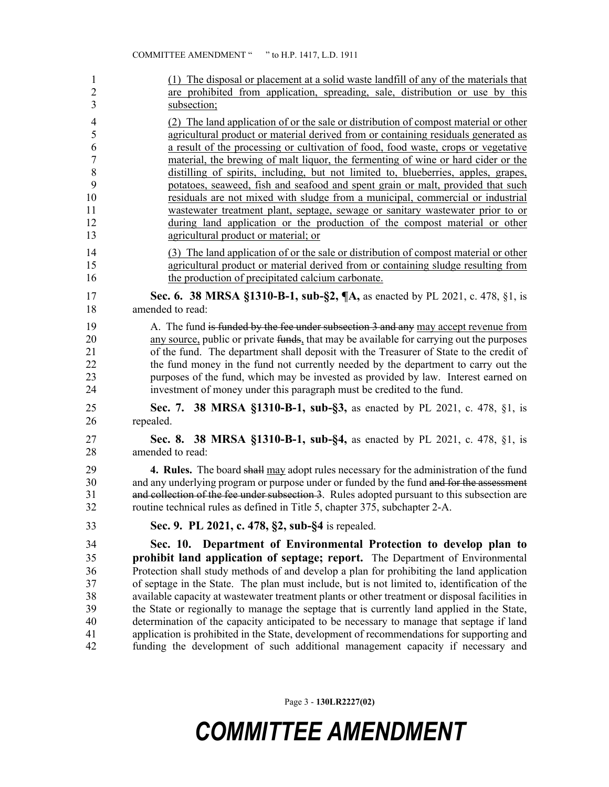| $\mathbf{1}$                                       | (1) The disposal or placement at a solid waste landfill of any of the materials that                                                                                                                                                                                                                                                                                                                                                                                                                                                                                                                                                                                                                                                                                                                                            |
|----------------------------------------------------|---------------------------------------------------------------------------------------------------------------------------------------------------------------------------------------------------------------------------------------------------------------------------------------------------------------------------------------------------------------------------------------------------------------------------------------------------------------------------------------------------------------------------------------------------------------------------------------------------------------------------------------------------------------------------------------------------------------------------------------------------------------------------------------------------------------------------------|
| $\overline{2}$                                     | are prohibited from application, spreading, sale, distribution or use by this                                                                                                                                                                                                                                                                                                                                                                                                                                                                                                                                                                                                                                                                                                                                                   |
| 3                                                  | subsection;                                                                                                                                                                                                                                                                                                                                                                                                                                                                                                                                                                                                                                                                                                                                                                                                                     |
| 4                                                  | (2) The land application of or the sale or distribution of compost material or other                                                                                                                                                                                                                                                                                                                                                                                                                                                                                                                                                                                                                                                                                                                                            |
| 5                                                  | agricultural product or material derived from or containing residuals generated as                                                                                                                                                                                                                                                                                                                                                                                                                                                                                                                                                                                                                                                                                                                                              |
| 6                                                  | a result of the processing or cultivation of food, food waste, crops or vegetative                                                                                                                                                                                                                                                                                                                                                                                                                                                                                                                                                                                                                                                                                                                                              |
| $\sqrt{ }$                                         | material, the brewing of malt liquor, the fermenting of wine or hard cider or the                                                                                                                                                                                                                                                                                                                                                                                                                                                                                                                                                                                                                                                                                                                                               |
| 8                                                  | distilling of spirits, including, but not limited to, blueberries, apples, grapes,                                                                                                                                                                                                                                                                                                                                                                                                                                                                                                                                                                                                                                                                                                                                              |
| 9                                                  | potatoes, seaweed, fish and seafood and spent grain or malt, provided that such                                                                                                                                                                                                                                                                                                                                                                                                                                                                                                                                                                                                                                                                                                                                                 |
| 10                                                 | residuals are not mixed with sludge from a municipal, commercial or industrial                                                                                                                                                                                                                                                                                                                                                                                                                                                                                                                                                                                                                                                                                                                                                  |
| 11                                                 | wastewater treatment plant, septage, sewage or sanitary wastewater prior to or                                                                                                                                                                                                                                                                                                                                                                                                                                                                                                                                                                                                                                                                                                                                                  |
| 12                                                 | during land application or the production of the compost material or other                                                                                                                                                                                                                                                                                                                                                                                                                                                                                                                                                                                                                                                                                                                                                      |
| 13                                                 | agricultural product or material; or                                                                                                                                                                                                                                                                                                                                                                                                                                                                                                                                                                                                                                                                                                                                                                                            |
| 14                                                 | (3) The land application of or the sale or distribution of compost material or other                                                                                                                                                                                                                                                                                                                                                                                                                                                                                                                                                                                                                                                                                                                                            |
| 15                                                 | agricultural product or material derived from or containing sludge resulting from                                                                                                                                                                                                                                                                                                                                                                                                                                                                                                                                                                                                                                                                                                                                               |
| 16                                                 | the production of precipitated calcium carbonate.                                                                                                                                                                                                                                                                                                                                                                                                                                                                                                                                                                                                                                                                                                                                                                               |
| 17                                                 | Sec. 6. 38 MRSA §1310-B-1, sub-§2, ¶A, as enacted by PL 2021, c. 478, §1, is                                                                                                                                                                                                                                                                                                                                                                                                                                                                                                                                                                                                                                                                                                                                                    |
| 18                                                 | amended to read:                                                                                                                                                                                                                                                                                                                                                                                                                                                                                                                                                                                                                                                                                                                                                                                                                |
| 19                                                 | A. The fund is funded by the fee under subsection 3 and any may accept revenue from                                                                                                                                                                                                                                                                                                                                                                                                                                                                                                                                                                                                                                                                                                                                             |
| 20                                                 | any source, public or private funds, that may be available for carrying out the purposes                                                                                                                                                                                                                                                                                                                                                                                                                                                                                                                                                                                                                                                                                                                                        |
| 21                                                 | of the fund. The department shall deposit with the Treasurer of State to the credit of                                                                                                                                                                                                                                                                                                                                                                                                                                                                                                                                                                                                                                                                                                                                          |
| 22                                                 | the fund money in the fund not currently needed by the department to carry out the                                                                                                                                                                                                                                                                                                                                                                                                                                                                                                                                                                                                                                                                                                                                              |
| 23                                                 | purposes of the fund, which may be invested as provided by law. Interest earned on                                                                                                                                                                                                                                                                                                                                                                                                                                                                                                                                                                                                                                                                                                                                              |
| 24                                                 | investment of money under this paragraph must be credited to the fund.                                                                                                                                                                                                                                                                                                                                                                                                                                                                                                                                                                                                                                                                                                                                                          |
| 25                                                 | Sec. 7. 38 MRSA §1310-B-1, sub-§3, as enacted by PL 2021, c. 478, §1, is                                                                                                                                                                                                                                                                                                                                                                                                                                                                                                                                                                                                                                                                                                                                                        |
| 26                                                 | repealed.                                                                                                                                                                                                                                                                                                                                                                                                                                                                                                                                                                                                                                                                                                                                                                                                                       |
| 27                                                 | Sec. 8. 38 MRSA §1310-B-1, sub-§4, as enacted by PL 2021, c. 478, §1, is                                                                                                                                                                                                                                                                                                                                                                                                                                                                                                                                                                                                                                                                                                                                                        |
| 28                                                 | amended to read:                                                                                                                                                                                                                                                                                                                                                                                                                                                                                                                                                                                                                                                                                                                                                                                                                |
| 29                                                 | <b>4. Rules.</b> The board shall may adopt rules necessary for the administration of the fund                                                                                                                                                                                                                                                                                                                                                                                                                                                                                                                                                                                                                                                                                                                                   |
| 30                                                 | and any underlying program or purpose under or funded by the fund and for the assessment                                                                                                                                                                                                                                                                                                                                                                                                                                                                                                                                                                                                                                                                                                                                        |
| 31                                                 | and collection of the fee under subsection 3. Rules adopted pursuant to this subsection are                                                                                                                                                                                                                                                                                                                                                                                                                                                                                                                                                                                                                                                                                                                                     |
| 32                                                 | routine technical rules as defined in Title 5, chapter 375, subchapter 2-A.                                                                                                                                                                                                                                                                                                                                                                                                                                                                                                                                                                                                                                                                                                                                                     |
| 33                                                 | Sec. 9. PL 2021, c. 478, §2, sub-§4 is repealed.                                                                                                                                                                                                                                                                                                                                                                                                                                                                                                                                                                                                                                                                                                                                                                                |
| 34<br>35<br>36<br>37<br>38<br>39<br>40<br>41<br>42 | Sec. 10.<br>Department of Environmental Protection to develop plan to<br>prohibit land application of septage; report. The Department of Environmental<br>Protection shall study methods of and develop a plan for prohibiting the land application<br>of septage in the State. The plan must include, but is not limited to, identification of the<br>available capacity at wastewater treatment plants or other treatment or disposal facilities in<br>the State or regionally to manage the septage that is currently land applied in the State,<br>determination of the capacity anticipated to be necessary to manage that septage if land<br>application is prohibited in the State, development of recommendations for supporting and<br>funding the development of such additional management capacity if necessary and |

Page 3 - **130LR2227(02)**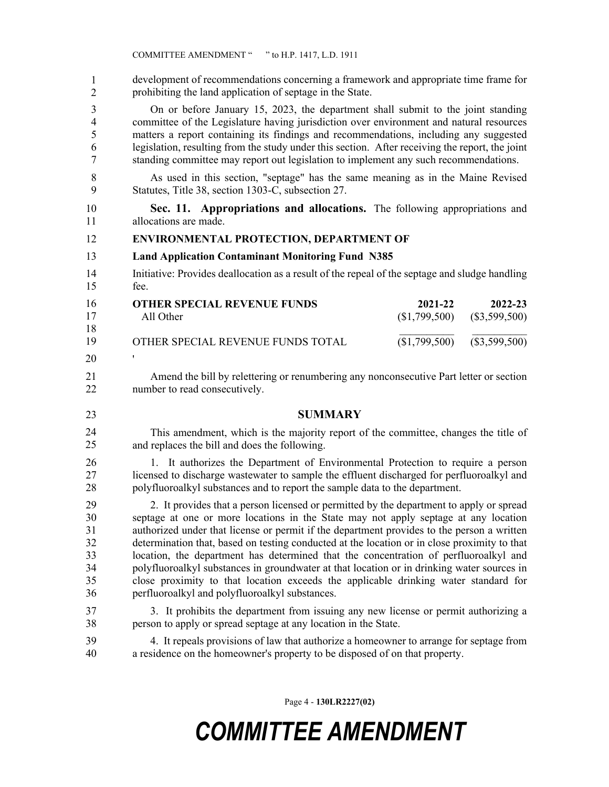development of recommendations concerning a framework and appropriate time frame for prohibiting the land application of septage in the State. 1 2

3 On or before January 15, 2023, the department shall submit to the joint standing 4 committee of the Legislature having jurisdiction over environment and natural resources 5 matters a report containing its findings and recommendations, including any suggested 6 legislation, resulting from the study under this section. After receiving the report, the joint 7 standing committee may report out legislation to implement any such recommendations.

- 8 As used in this section, "septage" has the same meaning as in the Maine Revised 9 Statutes, Title 38, section 1303-C, subsection 27.
- 10 **Sec. 11. Appropriations and allocations.** The following appropriations and 11 allocations are made.

#### 12 **ENVIRONMENTAL PROTECTION, DEPARTMENT OF**

#### 13 **Land Application Contaminant Monitoring Fund N385**

14 Initiative: Provides deallocation as a result of the repeal of the septage and sludge handling 15 fee.

| 16 | <b>OTHER SPECIAL REVENUE FUNDS</b> | 2021-22 | 2022-23                       |
|----|------------------------------------|---------|-------------------------------|
| 17 | All Other                          |         | $($1,799,500)$ $($3,599,500)$ |
| 18 |                                    |         |                               |
| 19 | OTHER SPECIAL REVENUE FUNDS TOTAL  |         | $($1,799,500)$ $($3,599,500)$ |
| 20 |                                    |         |                               |

- 21 Amend the bill by relettering or renumbering any nonconsecutive Part letter or section 22 number to read consecutively.
- 23 **SUMMARY**
- This amendment, which is the majority report of the committee, changes the title of and replaces the bill and does the following. 24 25

26 1. It authorizes the Department of Environmental Protection to require a person 27 licensed to discharge wastewater to sample the effluent discharged for perfluoroalkyl and 28 polyfluoroalkyl substances and to report the sample data to the department.

29 2. It provides that a person licensed or permitted by the department to apply or spread 30 septage at one or more locations in the State may not apply septage at any location 31 authorized under that license or permit if the department provides to the person a written 32 determination that, based on testing conducted at the location or in close proximity to that 33 location, the department has determined that the concentration of perfluoroalkyl and 34 polyfluoroalkyl substances in groundwater at that location or in drinking water sources in 35 close proximity to that location exceeds the applicable drinking water standard for 36 perfluoroalkyl and polyfluoroalkyl substances.

37 3. It prohibits the department from issuing any new license or permit authorizing a 38 person to apply or spread septage at any location in the State.

39 4. It repeals provisions of law that authorize a homeowner to arrange for septage from 40 a residence on the homeowner's property to be disposed of on that property.

Page 4 - **130LR2227(02)**